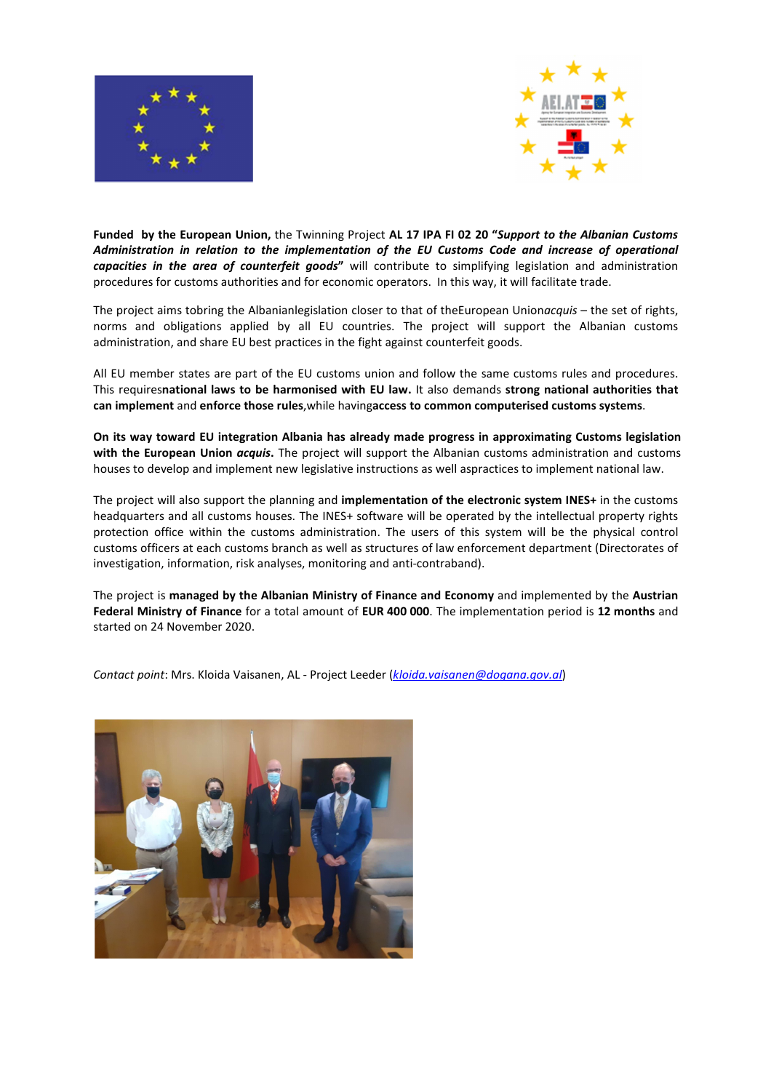



**Funded by the European Union,** the Twinning Project **AL 17 IPA FI 02 20 "***Support to the Albanian Customs Administration in relation to the implementation of the EU Customs Code and increase of operational*  capacities in the area of counterfeit goods" will contribute to simplifying legislation and administration procedures for customs authorities and for economic operators. In this way, it will facilitate trade.

The project aims tobring the Albanianlegislation closer to that of theEuropean Union*acquis* – the set of rights, norms and obligations applied by all EU countries. The project will support the Albanian customs administration, and share EU best practices in the fight against counterfeit goods.

All EU member states are part of the EU customs union and follow the same customs rules and procedures. This requires**national laws to be harmonised with EU law.** It also demands **strong national authorities that can implement** and **enforce those rules**,while having**access to common computerised customs systems**.

**On its way toward EU integration Albania has already made progress in approximating Customs legislation with the European Union** *acquis***.** The project will support the Albanian customs administration and customs houses to develop and implement new legislative instructions as well aspractices to implement national law.

The project will also support the planning and **implementation of the electronic system INES+** in the customs headquarters and all customs houses. The INES+ software will be operated by the intellectual property rights protection office within the customs administration. The users of this system will be the physical control customs officers at each customs branch as well as structures of law enforcement department (Directorates of investigation, information, risk analyses, monitoring and anti-contraband).

The project is **managed by the Albanian Ministry of Finance and Economy** and implemented by the **Austrian Federal Ministry of Finance** for a total amount of **EUR 400 000**. The implementation period is **12 months** and started on 24 November 2020.

*Contact point*: Mrs. Kloida Vaisanen, AL - Project Leeder (*kloida.vaisanen@dogana.gov.al*)